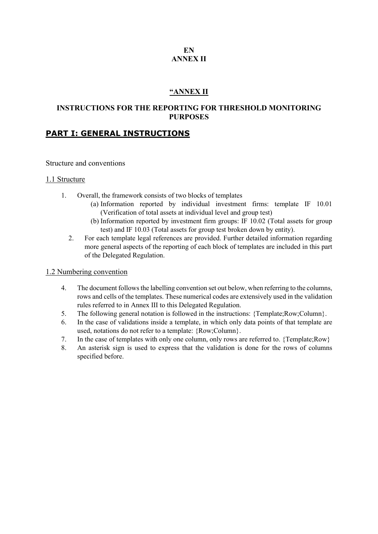### **EN ANNEX II**

### **"ANNEX II**

### **INSTRUCTIONS FOR THE REPORTING FOR THRESHOLD MONITORING PURPOSES**

### **PART I: GENERAL INSTRUCTIONS**

#### Structure and conventions

#### 1.1 Structure

- 1. Overall, the framework consists of two blocks of templates
	- (a) Information reported by individual investment firms: template IF 10.01 (Verification of total assets at individual level and group test)
	- (b) Information reported by investment firm groups: IF 10.02 (Total assets for group test) and IF 10.03 (Total assets for group test broken down by entity).
	- 2. For each template legal references are provided. Further detailed information regarding more general aspects of the reporting of each block of templates are included in this part of the Delegated Regulation.

#### 1.2 Numbering convention

- 4. The document follows the labelling convention set out below, when referring to the columns, rows and cells of the templates. These numerical codes are extensively used in the validation rules referred to in Annex III to this Delegated Regulation.
- 5. The following general notation is followed in the instructions: {Template;Row;Column}.
- 6. In the case of validations inside a template, in which only data points of that template are used, notations do not refer to a template: {Row;Column}.
- 7. In the case of templates with only one column, only rows are referred to. {Template;Row}
- 8. An asterisk sign is used to express that the validation is done for the rows of columns specified before.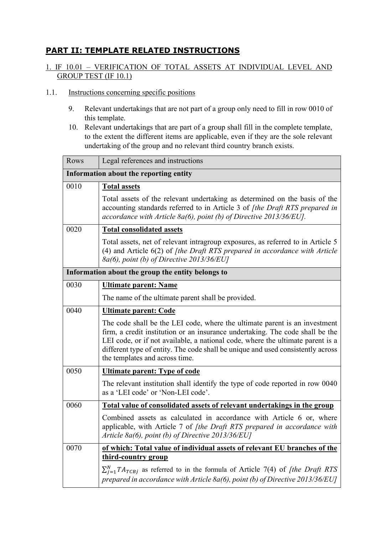# **PART II: TEMPLATE RELATED INSTRUCTIONS**

## 1. IF 10.01 – VERIFICATION OF TOTAL ASSETS AT INDIVIDUAL LEVEL AND GROUP TEST (IF 10.1)

### 1.1. Instructions concerning specific positions

- 9. Relevant undertakings that are not part of a group only need to fill in row 0010 of this template.
- 10. Relevant undertakings that are part of a group shall fill in the complete template, to the extent the different items are applicable, even if they are the sole relevant undertaking of the group and no relevant third country branch exists.

| Rows                                              | Legal references and instructions                                                                                                                                                                                                                                                                                                                                  |  |
|---------------------------------------------------|--------------------------------------------------------------------------------------------------------------------------------------------------------------------------------------------------------------------------------------------------------------------------------------------------------------------------------------------------------------------|--|
| Information about the reporting entity            |                                                                                                                                                                                                                                                                                                                                                                    |  |
| 0010                                              | <b>Total assets</b>                                                                                                                                                                                                                                                                                                                                                |  |
|                                                   | Total assets of the relevant undertaking as determined on the basis of the<br>accounting standards referred to in Article 3 of [the Draft RTS prepared in<br>accordance with Article 8a(6), point (b) of Directive $2013/36/EU$ .                                                                                                                                  |  |
| 0020                                              | <b>Total consolidated assets</b>                                                                                                                                                                                                                                                                                                                                   |  |
|                                                   | Total assets, net of relevant intragroup exposures, as referred to in Article 5<br>$(4)$ and Article $6(2)$ of <i>[the Draft RTS prepared in accordance with Article</i><br>$8a(6)$ , point (b) of Directive 2013/36/EU]                                                                                                                                           |  |
| Information about the group the entity belongs to |                                                                                                                                                                                                                                                                                                                                                                    |  |
| 0030                                              | <b>Ultimate parent: Name</b>                                                                                                                                                                                                                                                                                                                                       |  |
|                                                   | The name of the ultimate parent shall be provided.                                                                                                                                                                                                                                                                                                                 |  |
| 0040                                              | <u><b>Ultimate parent: Code</b></u>                                                                                                                                                                                                                                                                                                                                |  |
|                                                   | The code shall be the LEI code, where the ultimate parent is an investment<br>firm, a credit institution or an insurance undertaking. The code shall be the<br>LEI code, or if not available, a national code, where the ultimate parent is a<br>different type of entity. The code shall be unique and used consistently across<br>the templates and across time. |  |
| 0050                                              | <b>Ultimate parent: Type of code</b>                                                                                                                                                                                                                                                                                                                               |  |
|                                                   | The relevant institution shall identify the type of code reported in row 0040<br>as a 'LEI code' or 'Non-LEI code'.                                                                                                                                                                                                                                                |  |
| 0060                                              | Total value of consolidated assets of relevant undertakings in the group                                                                                                                                                                                                                                                                                           |  |
|                                                   | Combined assets as calculated in accordance with Article 6 or, where<br>applicable, with Article 7 of <i>[the Draft RTS prepared in accordance with</i><br>Article 8a(6), point (b) of Directive $2013/36/EU$                                                                                                                                                      |  |
| 0070                                              | of which: Total value of individual assets of relevant EU branches of the<br>third-country group                                                                                                                                                                                                                                                                   |  |
|                                                   | $\sum_{i=1}^{N} TA_{TCBi}$ as referred to in the formula of Article 7(4) of <i>[the Draft RTS</i><br>prepared in accordance with Article 8a(6), point (b) of Directive 2013/36/EU]                                                                                                                                                                                 |  |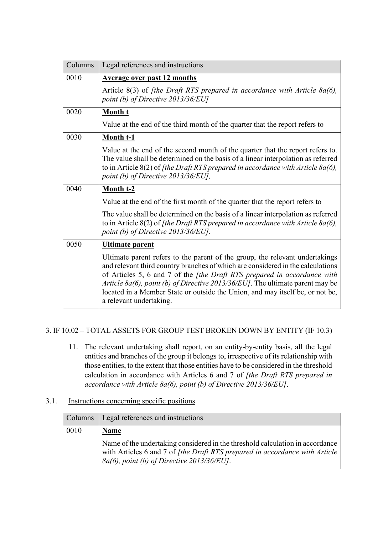| Columns | Legal references and instructions                                                                                                                                                                                                                                                                                                                                                                                                               |
|---------|-------------------------------------------------------------------------------------------------------------------------------------------------------------------------------------------------------------------------------------------------------------------------------------------------------------------------------------------------------------------------------------------------------------------------------------------------|
| 0010    | Average over past 12 months                                                                                                                                                                                                                                                                                                                                                                                                                     |
|         | Article $8(3)$ of <i>[the Draft RTS prepared in accordance with Article 8a(6)</i> ,<br>point (b) of Directive $2013/36/EU$                                                                                                                                                                                                                                                                                                                      |
| 0020    | Month t                                                                                                                                                                                                                                                                                                                                                                                                                                         |
|         | Value at the end of the third month of the quarter that the report refers to                                                                                                                                                                                                                                                                                                                                                                    |
| 0030    | Month t-1                                                                                                                                                                                                                                                                                                                                                                                                                                       |
|         | Value at the end of the second month of the quarter that the report refers to.<br>The value shall be determined on the basis of a linear interpolation as referred<br>to in Article $8(2)$ of [the Draft RTS prepared in accordance with Article $8a(6)$ ,<br>point (b) of Directive $2013/36/EU$ ,                                                                                                                                             |
| 0040    | Month t-2                                                                                                                                                                                                                                                                                                                                                                                                                                       |
|         | Value at the end of the first month of the quarter that the report refers to                                                                                                                                                                                                                                                                                                                                                                    |
|         | The value shall be determined on the basis of a linear interpolation as referred<br>to in Article $8(2)$ of [the Draft RTS prepared in accordance with Article $8a(6)$ ,<br>point (b) of Directive 2013/36/EU].                                                                                                                                                                                                                                 |
| 0050    | Ultimate parent                                                                                                                                                                                                                                                                                                                                                                                                                                 |
|         | Ultimate parent refers to the parent of the group, the relevant undertakings<br>and relevant third country branches of which are considered in the calculations<br>of Articles 5, 6 and 7 of the <i>[the Draft RTS prepared in accordance with</i><br>Article 8a(6), point (b) of Directive 2013/36/EU]. The ultimate parent may be<br>located in a Member State or outside the Union, and may itself be, or not be,<br>a relevant undertaking. |

## 3. IF 10.02 – TOTAL ASSETS FOR GROUP TEST BROKEN DOWN BY ENTITY (IF 10.3)

11. The relevant undertaking shall report, on an entity-by-entity basis, all the legal entities and branches of the group it belongs to, irrespective of its relationship with those entities, to the extent that those entities have to be considered in the threshold calculation in accordance with Articles 6 and 7 of *[the Draft RTS prepared in accordance with Article 8a(6), point (b) of Directive 2013/36/EU]*.

# 3.1. Instructions concerning specific positions

| Columns | Legal references and instructions                                                                                                                                                                                            |
|---------|------------------------------------------------------------------------------------------------------------------------------------------------------------------------------------------------------------------------------|
| 0010    | <b>Name</b><br>Name of the undertaking considered in the threshold calculation in accordance<br>with Articles 6 and 7 of [the Draft RTS prepared in accordance with Article<br>$8a(6)$ , point (b) of Directive 2013/36/EU]. |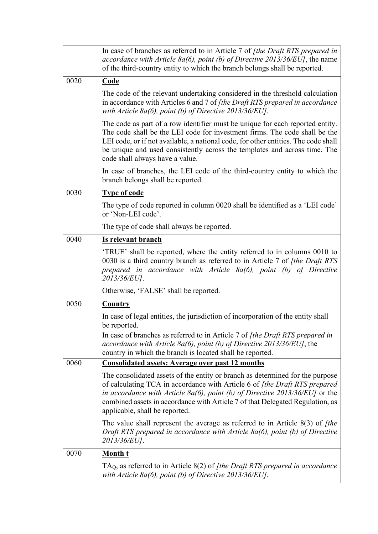|      | In case of branches as referred to in Article 7 of <i>[the Draft RTS prepared in</i><br>accordance with Article 8a(6), point (b) of Directive 2013/36/EUJ, the name<br>of the third-country entity to which the branch belongs shall be reported.                                                                                                                 |
|------|-------------------------------------------------------------------------------------------------------------------------------------------------------------------------------------------------------------------------------------------------------------------------------------------------------------------------------------------------------------------|
| 0020 | <b>Code</b>                                                                                                                                                                                                                                                                                                                                                       |
|      | The code of the relevant undertaking considered in the threshold calculation<br>in accordance with Articles 6 and 7 of [the Draft RTS prepared in accordance<br>with Article 8a(6), point (b) of Directive $2013/36/EU$ .                                                                                                                                         |
|      | The code as part of a row identifier must be unique for each reported entity.<br>The code shall be the LEI code for investment firms. The code shall be the<br>LEI code, or if not available, a national code, for other entities. The code shall<br>be unique and used consistently across the templates and across time. The<br>code shall always have a value. |
|      | In case of branches, the LEI code of the third-country entity to which the<br>branch belongs shall be reported.                                                                                                                                                                                                                                                   |
| 0030 | <b>Type of code</b>                                                                                                                                                                                                                                                                                                                                               |
|      | The type of code reported in column 0020 shall be identified as a 'LEI code'<br>or 'Non-LEI code'.                                                                                                                                                                                                                                                                |
|      | The type of code shall always be reported.                                                                                                                                                                                                                                                                                                                        |
| 0040 | Is relevant branch                                                                                                                                                                                                                                                                                                                                                |
|      | 'TRUE' shall be reported, where the entity referred to in columns 0010 to<br>0030 is a third country branch as referred to in Article 7 of <i>[the Draft RTS</i> ]<br>prepared in accordance with Article $8a(6)$ , point (b) of Directive<br>2013/36/EU].                                                                                                        |
|      | Otherwise, 'FALSE' shall be reported.                                                                                                                                                                                                                                                                                                                             |
| 0050 | <b>Country</b>                                                                                                                                                                                                                                                                                                                                                    |
|      | In case of legal entities, the jurisdiction of incorporation of the entity shall<br>be reported.                                                                                                                                                                                                                                                                  |
|      | In case of branches as referred to in Article 7 of [the Draft RTS prepared in<br>accordance with Article 8a(6), point (b) of Directive $2013/36/EU$ , the<br>country in which the branch is located shall be reported.                                                                                                                                            |
| 0060 | <b>Consolidated assets: Average over past 12 months</b>                                                                                                                                                                                                                                                                                                           |
|      | The consolidated assets of the entity or branch as determined for the purpose<br>of calculating TCA in accordance with Article 6 of [the Draft RTS prepared<br>in accordance with Article 8a(6), point (b) of Directive $2013/36/EU$ or the<br>combined assets in accordance with Article 7 of that Delegated Regulation, as<br>applicable, shall be reported.    |
|      | The value shall represent the average as referred to in Article $8(3)$ of <i>[the</i> ]<br>Draft RTS prepared in accordance with Article $8a(6)$ , point (b) of Directive<br>2013/36/EUJ.                                                                                                                                                                         |
| 0070 | <b>Month t</b>                                                                                                                                                                                                                                                                                                                                                    |
|      | $TAQ$ , as referred to in Article 8(2) of [the Draft RTS prepared in accordance<br>with Article 8a(6), point (b) of Directive $2013/36/EU$ .                                                                                                                                                                                                                      |